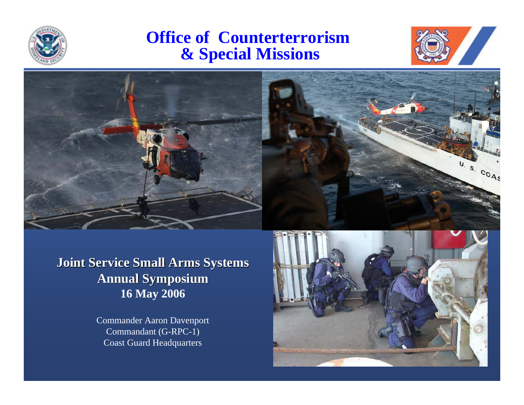

### **Office of Counterterrorism & Special Missions**





**Joint Service Small Arms Systems Joint Service Small Arms Systems Annual Symposium Annual Symposium 16 May 2006**

> Commander Aaron Davenport Commandant (G-RPC-1) Coast Guard Headquarters

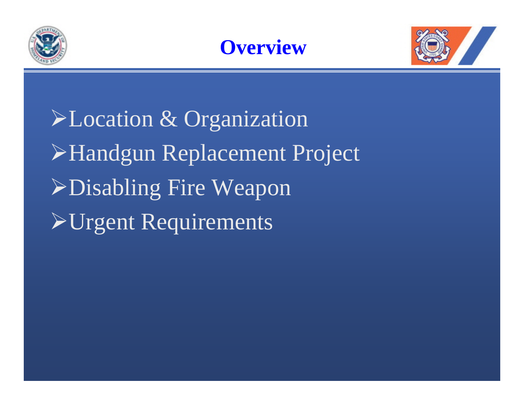





¾Location & Organization ¾Handgun Replacement Project ¾Disabling Fire Weapon **>Urgent Requirements**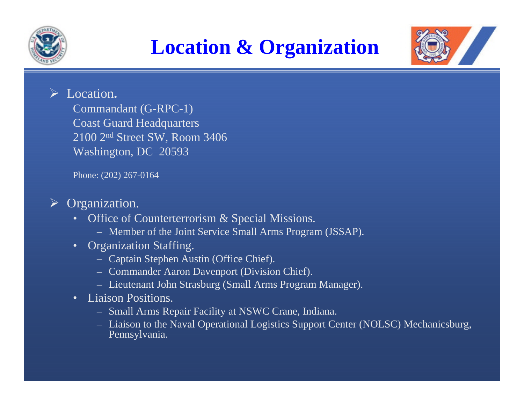





### ¾ Location**.**

Commandant (G-RPC-1) Coast Guard Headquarters 2100 2nd Street SW, Room 3406 Washington, DC 20593

Phone: (202) 267-0164

#### ¾ Organization.

- • Office of Counterterrorism & Special Missions.
	- Member of the Joint Service Small Arms Program (JSSAP).
- • Organization Staffing.
	- Captain Stephen Austin (Office Chief).
	- Commander Aaron Davenport (Division Chief).
	- Lieutenant John Strasburg (Small Arms Program Manager).
- • Liaison Positions.
	- Small Arms Repair Facility at NSWC Crane, Indiana.
	- Liaison to the Naval Operational Logistics Support Center (NOLSC) Mechanicsburg, Pennsylvania.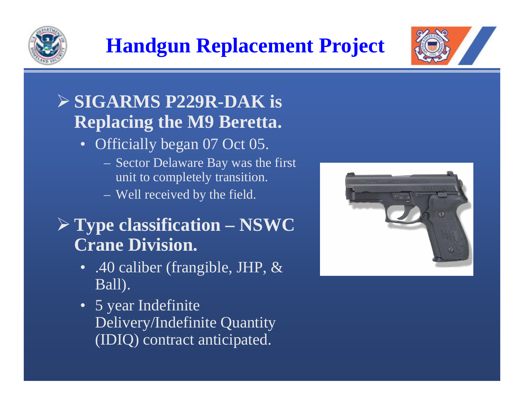

# **Handgun Replacement Project**



## ¾ **SIGARMS P229R-DAK is Replacing the M9 Beretta.**

- Officially began 07 Oct 05.
	- Sector Delaware Bay was the first unit to completely transition.
	- Well received by the field.

## ¾ **Type classification – NSWC Crane Division.**

- .40 caliber (frangible, JHP, & Ball).
- 5 year Indefinite Delivery/Indefinite Quantity (IDIQ) contract anticipated.

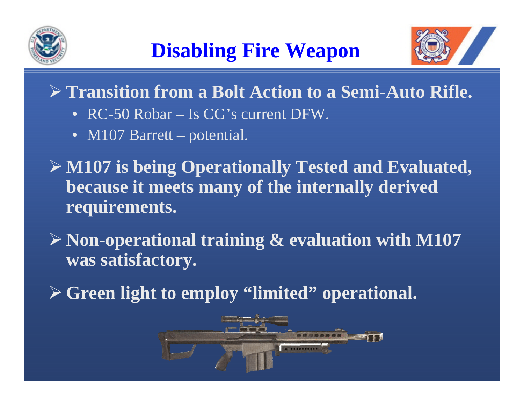



- ¾ **Transition from a Bolt Action to a Semi-Auto Rifle.**
	- RC-50 Robar Is CG's current DFW.
	- M107 Barrett potential.
- ¾ **M107 is being Operationally Tested and Evaluated, because it meets many of the internally derived requirements.**
- ¾ **Non-operational training & evaluation with M107 was satisfactory.**
- ¾ **Green light to employ "limited" operational.**

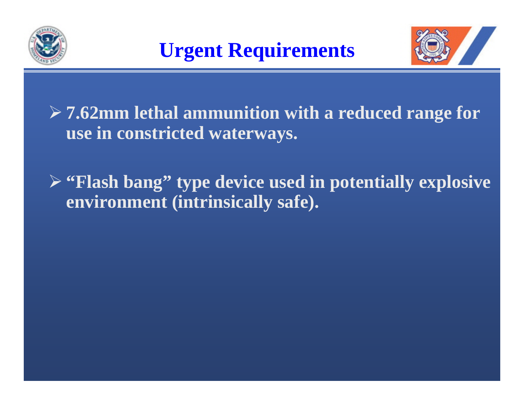



- ¾ **7.62mm lethal ammunition with a reduced range for use in constricted waterways.**
- ¾ **"Flash bang" type device used in potentially explosive environment (intrinsically safe).**